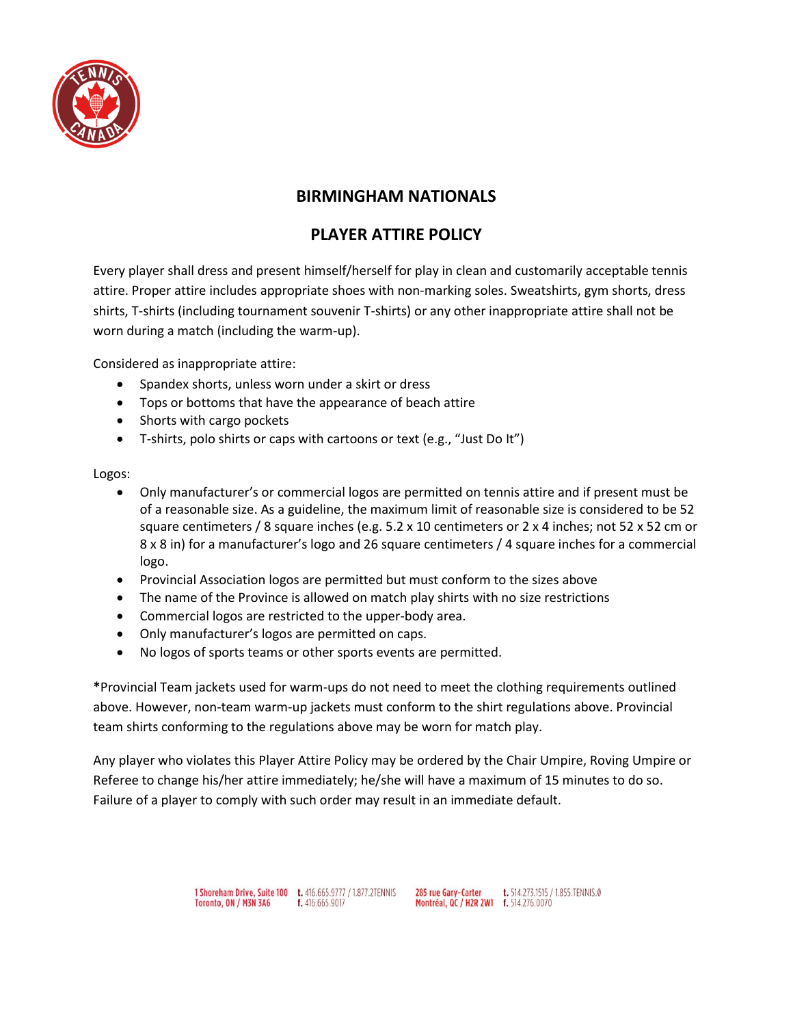

## **BIRMINGHAM NATIONALS**

## **PLAYER ATTIRE POLICY**

Every player shall dress and present himself/herself for play in clean and customarily acceptable tennis attire. Proper attire includes appropriate shoes with non-marking soles. Sweatshirts, gym shorts, dress shirts, T-shirts (including tournament souvenir T-shirts) or any other inappropriate attire shall not be worn during a match (including the warm-up).

Considered as inappropriate attire:

- Spandex shorts, unless worn under a skirt or dress
- Tops or bottoms that have the appearance of beach attire
- Shorts with cargo pockets
- T-shirts, polo shirts or caps with cartoons or text (e.g., "Just Do It")

## Logos:

- Only manufacturer's or commercial logos are permitted on tennis attire and if present must be of a reasonable size. As a guideline, the maximum limit of reasonable size is considered to be 52 square centimeters / 8 square inches (e.g. 5.2 x 10 centimeters or 2 x 4 inches; not 52 x 52 cm or 8 x 8 in) for a manufacturer's logo and 26 square centimeters / 4 square inches for a commercial logo.
- Provincial Association logos are permitted but must conform to the sizes above
- The name of the Province is allowed on match play shirts with no size restrictions
- Commercial logos are restricted to the upper-body area.
- Only manufacturer's logos are permitted on caps.
- No logos of sports teams or other sports events are permitted.

**\***Provincial Team jackets used for warm-ups do not need to meet the clothing requirements outlined above. However, non-team warm-up jackets must conform to the shirt regulations above. Provincial team shirts conforming to the regulations above may be worn for match play.

Any player who violates this Player Attire Policy may be ordered by the Chair Umpire, Roving Umpire or Referee to change his/her attire immediately; he/she will have a maximum of 15 minutes to do so. Failure of a player to comply with such order may result in an immediate default.